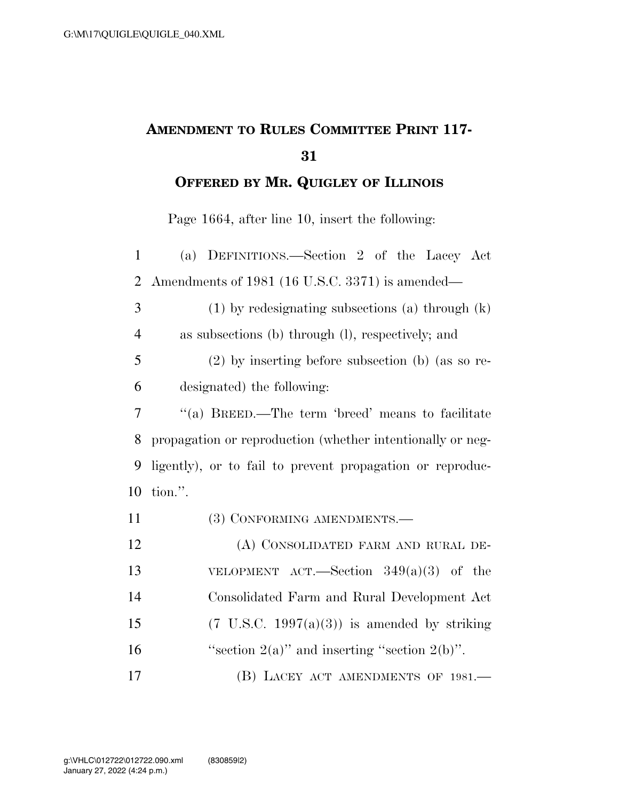## **AMENDMENT TO RULES COMMITTEE PRINT 117-**

**OFFERED BY MR. QUIGLEY OF ILLINOIS**

Page 1664, after line 10, insert the following:

| $\mathbf{1}$   | (a) DEFINITIONS.—Section 2 of the Lacey Act                |
|----------------|------------------------------------------------------------|
| $\overline{2}$ | Amendments of 1981 (16 U.S.C. 3371) is amended—            |
| 3              | $(1)$ by redesignating subsections (a) through $(k)$       |
| $\overline{4}$ | as subsections (b) through (l), respectively; and          |
| 5              | $(2)$ by inserting before subsection (b) (as so re-        |
| 6              | designated) the following:                                 |
| $\overline{7}$ | "(a) BREED.—The term 'breed' means to facilitate           |
| 8              | propagation or reproduction (whether intentionally or neg- |
| 9              | ligently), or to fail to prevent propagation or reproduc-  |
| 10             | tion.".                                                    |
| 11             | (3) CONFORMING AMENDMENTS.-                                |
| 12             | (A) CONSOLIDATED FARM AND RURAL DE-                        |
| 13             | VELOPMENT ACT.—Section $349(a)(3)$ of the                  |
| 14             | Consolidated Farm and Rural Development Act                |
| 15             | $(7 \text{ U.S.C. } 1997(a)(3))$ is amended by striking    |
| 16             | "section $2(a)$ " and inserting "section $2(b)$ ".         |
| 17             | (B) LACEY ACT AMENDMENTS OF 1981.-                         |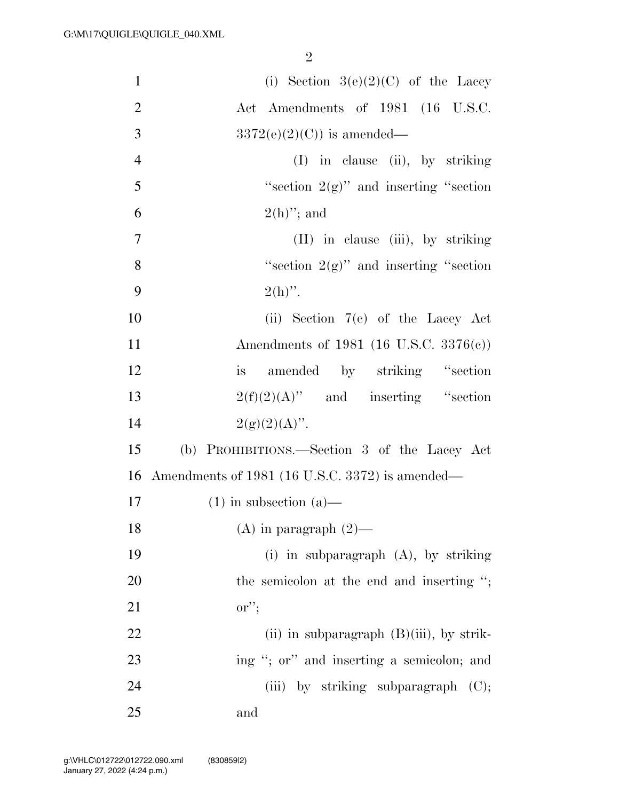| $\mathbf{1}$   | (i) Section $3(e)(2)(C)$ of the Lacey           |
|----------------|-------------------------------------------------|
| $\overline{2}$ | Act Amendments of 1981 (16 U.S.C.               |
| 3              | $3372(e)(2)(C)$ is amended—                     |
| $\overline{4}$ | $(I)$ in clause (ii), by striking               |
| 5              | "section $2(g)$ " and inserting "section"       |
| 6              | $2(h)$ "; and                                   |
| $\tau$         | (II) in clause (iii), by striking               |
| 8              | "section $2(g)$ " and inserting "section"       |
| 9              | $2(h)$ ".                                       |
| 10             | (ii) Section $7(e)$ of the Lacey Act            |
| 11             | Amendments of 1981 (16 U.S.C. 3376(c))          |
| 12             | is amended by striking "section                 |
| 13             | $2(f)(2)(A)$ " and inserting "section           |
| 14             | $2(g)(2)(A)$ ".                                 |
| 15             | (b) PROHIBITIONS.—Section 3 of the Lacey Act    |
| 16             | Amendments of 1981 (16 U.S.C. 3372) is amended— |
| $17\,$         | $(1)$ in subsection $(a)$ —                     |
| 18             | $(A)$ in paragraph $(2)$ —                      |
| 19             | (i) in subparagraph $(A)$ , by striking         |
| 20             | the semicolon at the end and inserting ";       |
| 21             | $\text{or}''$                                   |
| 22             | (ii) in subparagraph $(B)(iii)$ , by strik-     |
| 23             | ing "; or" and inserting a semicolon; and       |
| 24             | (iii) by striking subparagraph $(C)$ ;          |
| 25             | and                                             |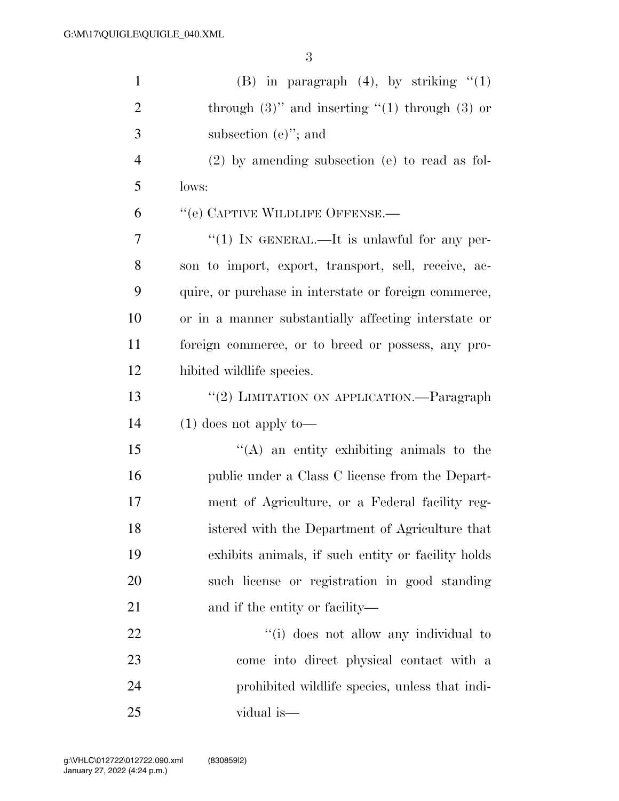| $\mathbf{1}$   | (B) in paragraph $(4)$ , by striking " $(1)$           |
|----------------|--------------------------------------------------------|
| $\overline{2}$ | through $(3)$ " and inserting " $(1)$ through $(3)$ or |
| 3              | subsection $(e)$ "; and                                |
| $\overline{4}$ | $(2)$ by amending subsection (e) to read as fol-       |
| 5              | lows:                                                  |
| 6              | "(e) CAPTIVE WILDLIFE OFFENSE.—                        |
| 7              | " $(1)$ IN GENERAL.—It is unlawful for any per-        |
| 8              | son to import, export, transport, sell, receive, ac-   |
| 9              | quire, or purchase in interstate or foreign commerce,  |
| 10             | or in a manner substantially affecting interstate or   |
| 11             | foreign commerce, or to breed or possess, any pro-     |
| 12             | hibited wildlife species.                              |
| 13             | "(2) LIMITATION ON APPLICATION.—Paragraph              |
| 14             | $(1)$ does not apply to —                              |
| 15             | "(A) an entity exhibiting animals to the               |
| 16             | public under a Class C license from the Depart-        |
| 17             | ment of Agriculture, or a Federal facility reg-        |
| 18             | istered with the Department of Agriculture that        |
| 19             | exhibits animals, if such entity or facility holds     |
| 20             | such license or registration in good standing          |
| 21             | and if the entity or facility—                         |
| 22             | "(i) does not allow any individual to                  |
| 23             | come into direct physical contact with a               |
| 24             | prohibited wildlife species, unless that indi-         |
| 25             | vidual is—                                             |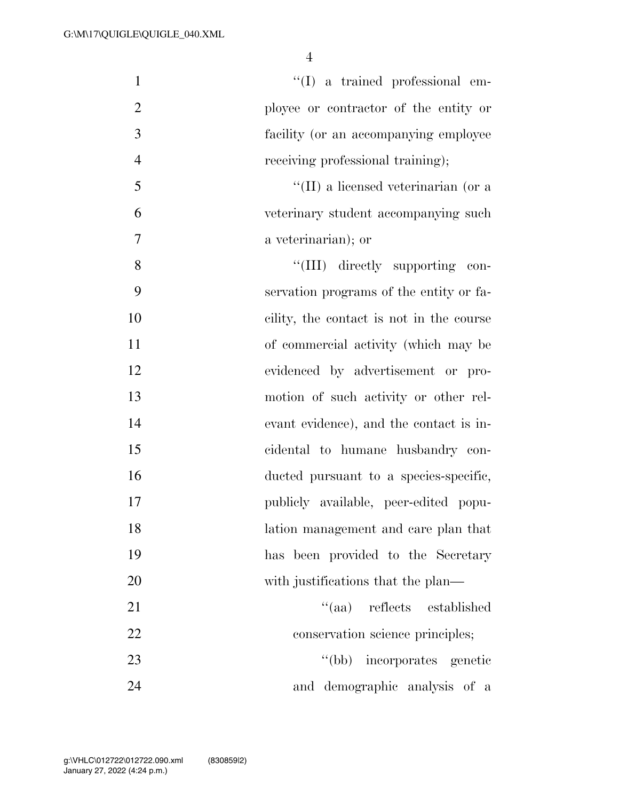| $\mathbf{1}$   | $\lq\lq$ (I) a trained professional em-     |
|----------------|---------------------------------------------|
| $\overline{2}$ | ployee or contractor of the entity or       |
| 3              | facility (or an accompanying employee       |
| $\overline{4}$ | receiving professional training);           |
| 5              | $\lq\lq$ (II) a licensed veterinarian (or a |
| 6              | veterinary student accompanying such        |
| 7              | a veterinarian); or                         |
| 8              | "(III) directly supporting<br>con-          |
| 9              | servation programs of the entity or fa-     |
| 10             | cility, the contact is not in the course    |
| 11             | of commercial activity (which may be        |
| 12             | evidenced by advertisement or pro-          |
| 13             | motion of such activity or other rel-       |
| 14             | evant evidence), and the contact is in-     |
| 15             | cidental to humane husbandry con-           |
| 16             | ducted pursuant to a species-specific,      |
| 17             | publicly available, peer-edited popu-       |
| 18             | lation management and care plan that        |
| 19             | has been provided to the Secretary          |
| 20             | with justifications that the plan—          |
| 21             | "(aa) reflects established                  |
| 22             | conservation science principles;            |
| 23             | incorporates genetic<br>$\lq (bb)$          |
| 24             | and demographic analysis of a               |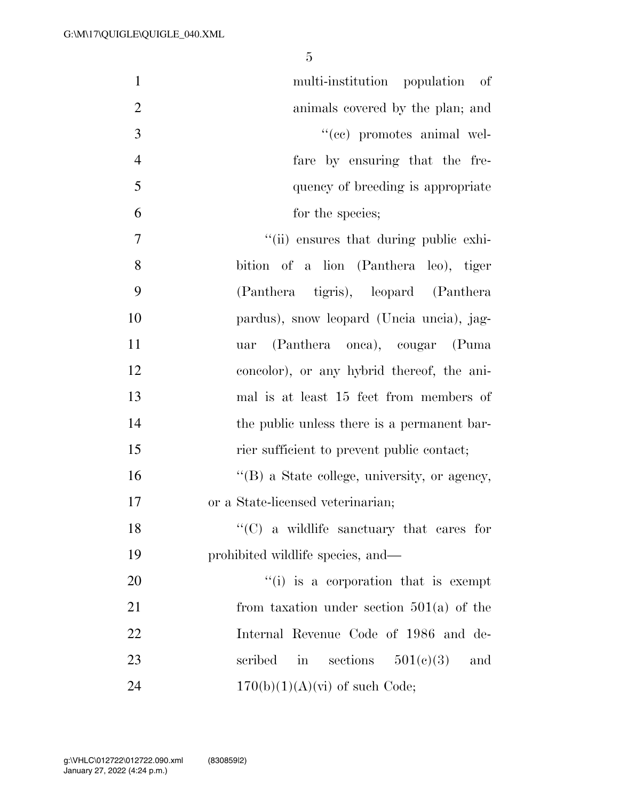| $\mathbf{1}$   | multi-institution population of                      |
|----------------|------------------------------------------------------|
| $\overline{2}$ | animals covered by the plan; and                     |
| 3              | "(cc) promotes animal wel-                           |
| $\overline{4}$ | fare by ensuring that the fre-                       |
| 5              | quency of breeding is appropriate                    |
| 6              | for the species;                                     |
| $\overline{7}$ | "(ii) ensures that during public exhi-               |
| 8              | bition of a lion (Panthera leo), tiger               |
| 9              | (Panthera tigris), leopard (Panthera)                |
| 10             | pardus), snow leopard (Uncia uncia), jag-            |
| 11             | (Panthera onca), cougar (Puma<br>uar                 |
| 12             | concolor), or any hybrid thereof, the ani-           |
| 13             | mal is at least 15 feet from members of              |
| 14             | the public unless there is a permanent bar-          |
| 15             | rier sufficient to prevent public contact;           |
| 16             | $\lq\lq$ (B) a State college, university, or agency, |
| 17             | or a State-licensed veterinarian;                    |
| 18             | $\lq\lq$ (C) a wildlife sanctuary that cares for     |
| 19             | prohibited wildlife species, and—                    |
| 20             | $f'(i)$ is a corporation that is exempt              |
| 21             | from taxation under section $501(a)$ of the          |
| 22             | Internal Revenue Code of 1986 and de-                |
| 23             | in sections $501(e)(3)$<br>scribed<br>and            |
| 24             | $170(b)(1)(A)(vi)$ of such Code;                     |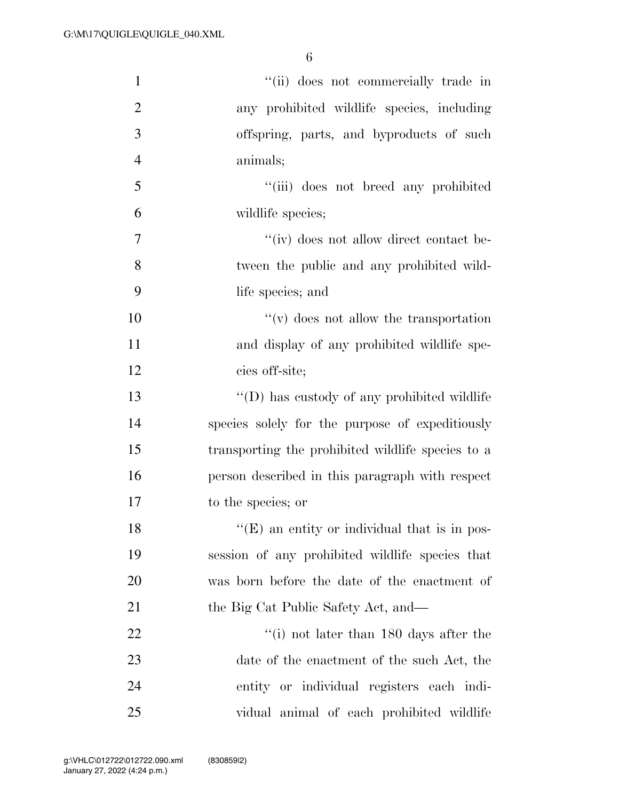| $\mathbf{1}$   | "(ii) does not commercially trade in                |
|----------------|-----------------------------------------------------|
| $\overline{2}$ | any prohibited wildlife species, including          |
| 3              | offspring, parts, and byproducts of such            |
| $\overline{4}$ | animals;                                            |
| 5              | "(iii) does not breed any prohibited                |
| 6              | wildlife species;                                   |
| 7              | "(iv) does not allow direct contact be-             |
| 8              | tween the public and any prohibited wild-           |
| 9              | life species; and                                   |
| 10             | $f'(v)$ does not allow the transportation           |
| 11             | and display of any prohibited wildlife spe-         |
| 12             | cies off-site;                                      |
| 13             | "(D) has custody of any prohibited wildlife         |
| 14             | species solely for the purpose of expeditiously     |
| 15             | transporting the prohibited wildlife species to a   |
| 16             | person described in this paragraph with respect     |
| 17             | to the species; or                                  |
| 18             | $\lq\lq(E)$ an entity or individual that is in pos- |
| 19             | session of any prohibited wildlife species that     |
| 20             | was born before the date of the enactment of        |
| 21             | the Big Cat Public Safety Act, and—                 |
| 22             | $f'(i)$ not later than 180 days after the           |
| 23             | date of the enactment of the such Act, the          |
| 24             | entity or individual registers each indi-           |
| 25             | vidual animal of each prohibited wildlife           |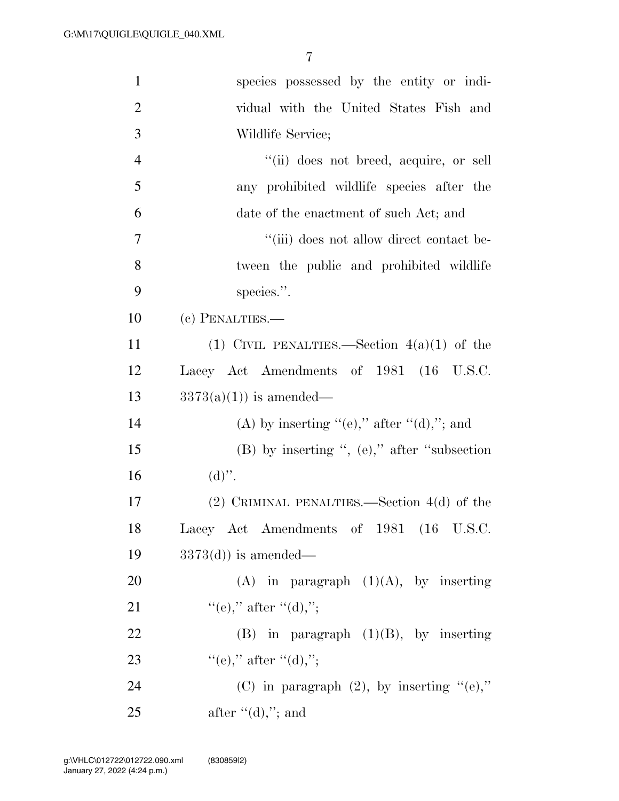| $\mathbf{1}$   | species possessed by the entity or indi-       |
|----------------|------------------------------------------------|
| $\overline{2}$ | vidual with the United States Fish and         |
| 3              | Wildlife Service;                              |
| $\overline{4}$ | "(ii) does not breed, acquire, or sell         |
| 5              | any prohibited wildlife species after the      |
| 6              | date of the enactment of such Act; and         |
| $\overline{7}$ | "(iii) does not allow direct contact be-       |
| 8              | tween the public and prohibited wildlife       |
| 9              | species.".                                     |
| 10             | (c) PENALTIES.-                                |
| 11             | (1) CIVIL PENALTIES.—Section $4(a)(1)$ of the  |
| 12             | Lacey Act Amendments of 1981 (16 U.S.C.        |
| 13             | $3373(a)(1)$ is amended—                       |
| 14             | (A) by inserting "(e)," after "(d),"; and      |
| 15             | $(B)$ by inserting ", (e)," after "subsection" |
| 16             | $(d)$ ".                                       |
| 17             | $(2)$ CRIMINAL PENALTIES.—Section 4(d) of the  |
| 18             | Lacey Act Amendments of 1981 (16 U.S.C.        |
| 19             | $3373(d)$ is amended—                          |
| 20             | (A) in paragraph $(1)(A)$ , by inserting       |
| 21             | "(e)," after "(d),";                           |
| 22             | $(B)$ in paragraph $(1)(B)$ , by inserting     |
| 23             | "(e)," after "(d),";                           |
| 24             | (C) in paragraph $(2)$ , by inserting "(e),"   |
| 25             | after $\lq (d)$ ,"; and                        |